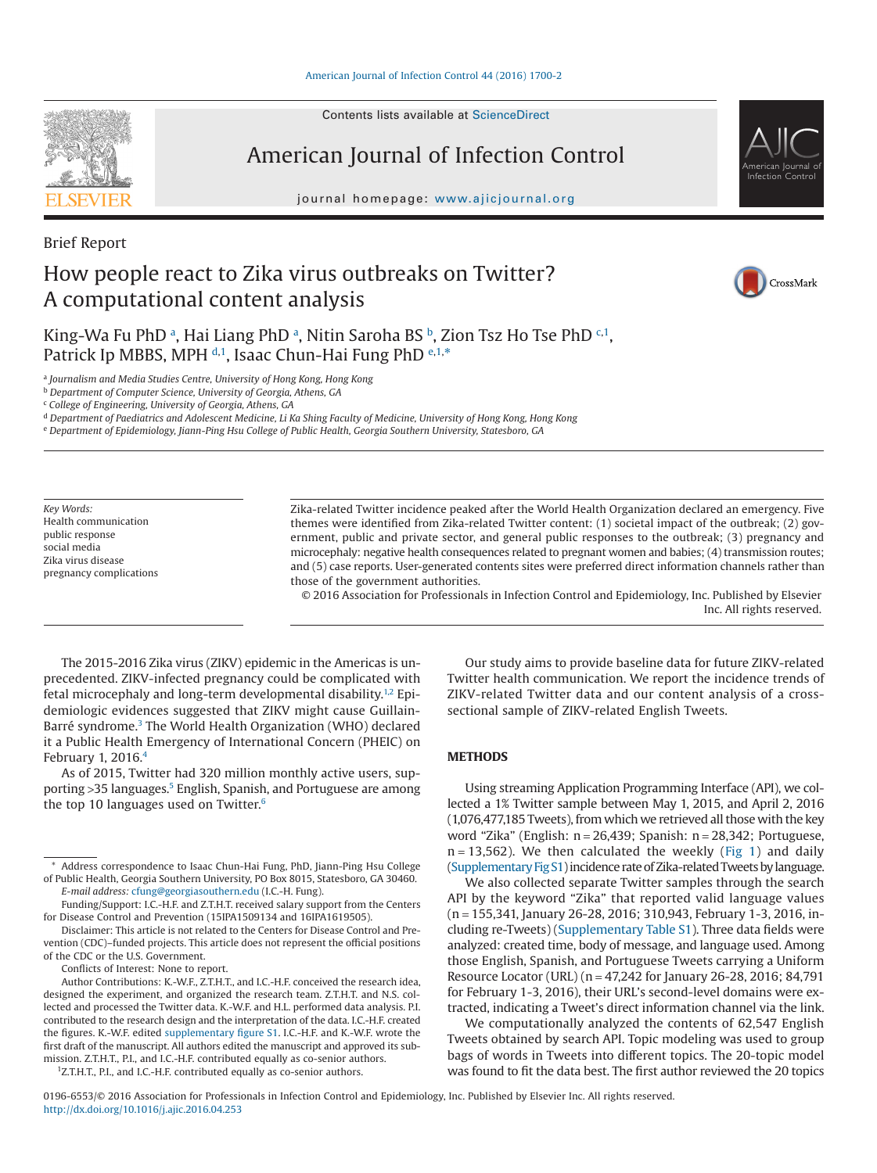#### [American Journal of Infection Control 44 \(2016\) 1700-2](http://dx.doi.org/10.1016/j.ajic.2016.04.253)

Contents lists available at [ScienceDirect](http://www.sciencedirect.com/science/journal/01966553)

## American Journal of Infection Control

journal homepage: [www.ajicjournal.org](http://www.ajicjournal.org)

# How people react to Zika virus outbreaks on Twitter? A computational content analysis

CrossMark

American Journal of Infection Control

King-W[a](#page-0-0) Fu PhD ª, Hai Liang PhD ª, Nitin Saroha BS <sup>[b](#page-0-1)</sup>, Zion Tsz Ho Tse PhD <sup>[c,](#page-0-2) [1](#page-0-3)</sup>, Patrick Ip MBBS, MPH [d](#page-0-4)[,1](#page-0-3), Isaac Chun-Hai Fung PhD <sup>[e](#page-0-5)[,1,](#page-0-3)[\\*](#page-0-6)</sup>

<span id="page-0-0"></span><sup>a</sup> *Journalism and Media Studies Centre, University of Hong Kong, Hong Kong*

<span id="page-0-1"></span><sup>b</sup> *Department of Computer Science, University of Georgia, Athens, GA*

<span id="page-0-2"></span><sup>c</sup> *College of Engineering, University of Georgia, Athens, GA*

<span id="page-0-4"></span><sup>d</sup> *Department of Paediatrics and Adolescent Medicine, Li Ka Shing Faculty of Medicine, University of Hong Kong, Hong Kong*

<span id="page-0-5"></span><sup>e</sup> *Department of Epidemiology, Jiann-Ping Hsu College of Public Health, Georgia Southern University, Statesboro, GA*

*Key Words:* Health communication public response social media Zika virus disease pregnancy complications Zika-related Twitter incidence peaked after the World Health Organization declared an emergency. Five themes were identified from Zika-related Twitter content: (1) societal impact of the outbreak; (2) government, public and private sector, and general public responses to the outbreak; (3) pregnancy and microcephaly: negative health consequences related to pregnant women and babies; (4) transmission routes; and (5) case reports. User-generated contents sites were preferred direct information channels rather than those of the government authorities.

© 2016 Association for Professionals in Infection Control and Epidemiology, Inc. Published by Elsevier Inc. All rights reserved.

The 2015-2016 Zika virus (ZIKV) epidemic in the Americas is unprecedented. ZIKV-infected pregnancy could be complicated with fetal microcephaly and long-term developmental disability.<sup>1,2</sup> Epidemiologic evidences suggested that ZIKV might cause Guillain-Barré syndrome.<sup>3</sup> The World Health Organization (WHO) declared it a Public Health Emergency of International Concern (PHEIC) on February 1, 2016[.4](#page-2-2)

As of 2015, Twitter had 320 million monthly active users, supporting > 35 languages.<sup>5</sup> English, Spanish, and Portuguese are among the top 10 languages used on Twitter. $6$ 

Conflicts of Interest: None to report.

Author Contributions: K.-W.F., Z.T.H.T., and I.C.-H.F. conceived the research idea, designed the experiment, and organized the research team. Z.T.H.T. and N.S. collected and processed the Twitter data. K.-W.F. and H.L. performed data analysis. P.I. contributed to the research design and the interpretation of the data. I.C.-H.F. created the figures. K.-W.F. edited supplementary figure S1. I.C.-H.F. and K.-W.F. wrote the first draft of the manuscript. All authors edited the manuscript and approved its submission. Z.T.H.T., P.I., and I.C.-H.F. contributed equally as co-senior authors.

<span id="page-0-3"></span><sup>1</sup>Z.T.H.T., P.I., and I.C.-H.F. contributed equally as co-senior authors.

Our study aims to provide baseline data for future ZIKV-related Twitter health communication. We report the incidence trends of ZIKV-related Twitter data and our content analysis of a crosssectional sample of ZIKV-related English Tweets.

## **METHODS**

Using streaming Application Programming Interface (API), we collected a 1% Twitter sample between May 1, 2015, and April 2, 2016 (1,076,477,185 Tweets), from which we retrieved all those with the key word "Zika" (English: n = 26,439; Spanish: n = 28,342; Portuguese,  $n = 13,562$ ). We then calculated the weekly [\(Fig 1\)](#page-1-0) and daily (Supplementary Fig S1) incidence rate of Zika-related Tweetsby language.

We also collected separate Twitter samples through the search API by the keyword "Zika" that reported valid language values (n = 155,341, January 26-28, 2016; 310,943, February 1-3, 2016, including re-Tweets) (Supplementary Table S1). Three data fields were analyzed: created time, body of message, and language used. Among those English, Spanish, and Portuguese Tweets carrying a Uniform Resource Locator (URL) (n = 47,242 for January 26-28, 2016; 84,791 for February 1-3, 2016), their URL's second-level domains were extracted, indicating a Tweet's direct information channel via the link.

We computationally analyzed the contents of 62,547 English Tweets obtained by search API. Topic modeling was used to group bags of words in Tweets into different topics. The 20-topic model was found to fit the data best. The first author reviewed the 20 topics



Brief Report

<span id="page-0-6"></span><sup>\*</sup> Address correspondence to Isaac Chun-Hai Fung, PhD, Jiann-Ping Hsu College of Public Health, Georgia Southern University, PO Box 8015, Statesboro, GA 30460. *E-mail address:* [cfung@georgiasouthern.edu](mailto:cfung@georgiasouthern.edu) (I.C.-H. Fung).

Funding/Support: I.C.-H.F. and Z.T.H.T. received salary support from the Centers for Disease Control and Prevention (15IPA1509134 and 16IPA1619505).

Disclaimer: This article is not related to the Centers for Disease Control and Prevention (CDC)–funded projects. This article does not represent the official positions of the CDC or the U.S. Government.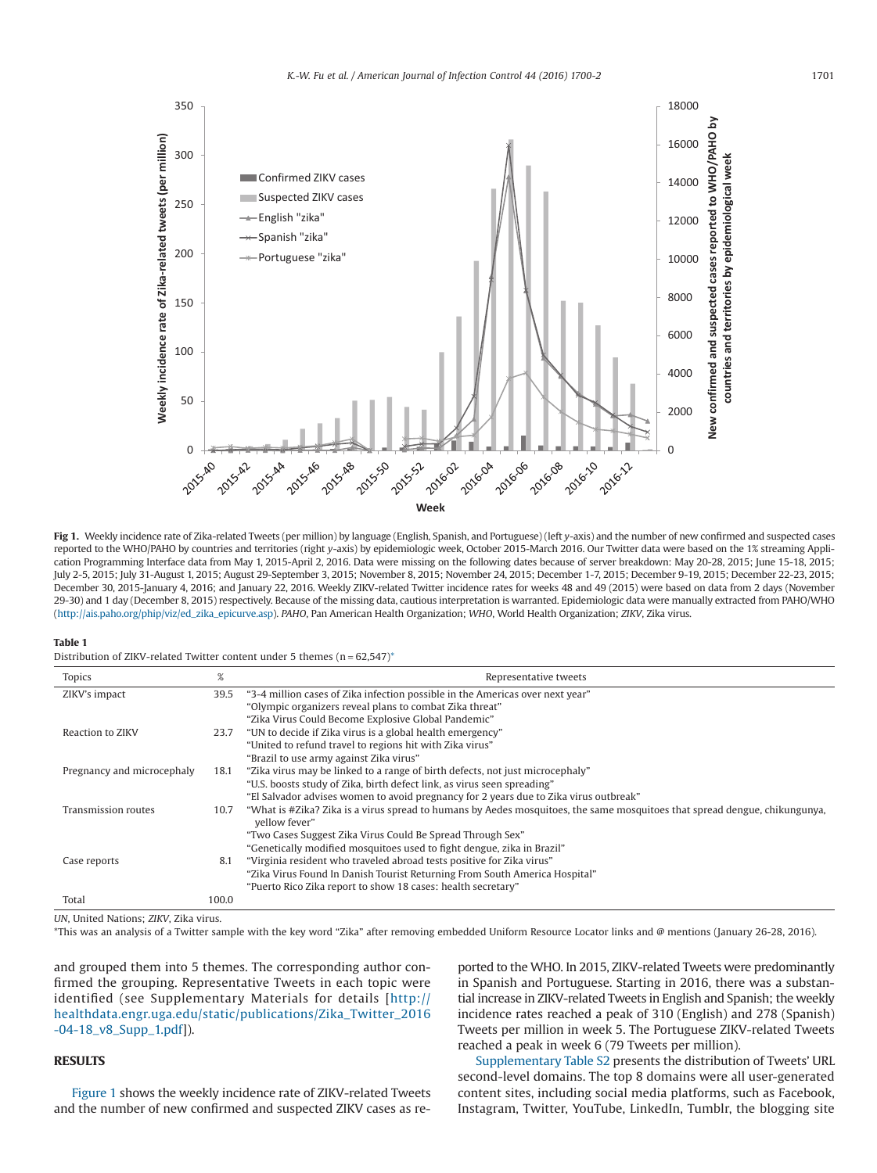<span id="page-1-0"></span>

**Fig 1.** Weekly incidence rate of Zika-related Tweets (per million) by language (English, Spanish, and Portuguese) (left *y*-axis) and the number of new confirmed and suspected cases reported to the WHO/PAHO by countries and territories (right *y*-axis) by epidemiologic week, October 2015-March 2016. Our Twitter data were based on the 1% streaming Application Programming Interface data from May 1, 2015-April 2, 2016. Data were missing on the following dates because of server breakdown: May 20-28, 2015; June 15-18, 2015; July 2-5, 2015; July 31-August 1, 2015; August 29-September 3, 2015; November 8, 2015; November 24, 2015; December 1-7, 2015; December 9-19, 2015; December 22-23, 2015; December 30, 2015-January 4, 2016; and January 22, 2016. Weekly ZIKV-related Twitter incidence rates for weeks 48 and 49 (2015) were based on data from 2 days (November 29-30) and 1 day (December 8, 2015) respectively. Because of the missing data, cautious interpretation is warranted. Epidemiologic data were manually extracted from PAHO/WHO [\(http://ais.paho.org/phip/viz/ed\\_zika\\_epicurve.asp\)](http://ais.paho.org/phip/viz/ed_zika_epicurve.asp). *PAHO*, Pan American Health Organization; *WHO*, World Health Organization; *ZIKV*, Zika virus.

#### **Table 1**

Distribution of ZIKV-related Twitter content under 5 themes  $(n = 62,547)^*$ 

| <b>Topics</b>              | %     | Representative tweets                                                                                                                       |
|----------------------------|-------|---------------------------------------------------------------------------------------------------------------------------------------------|
| ZIKV's impact              | 39.5  | "3-4 million cases of Zika infection possible in the Americas over next year"                                                               |
|                            |       | "Olympic organizers reveal plans to combat Zika threat"                                                                                     |
|                            |       | "Zika Virus Could Become Explosive Global Pandemic"                                                                                         |
| Reaction to ZIKV           | 23.7  | "UN to decide if Zika virus is a global health emergency"                                                                                   |
|                            |       | "United to refund travel to regions hit with Zika virus"                                                                                    |
|                            |       | "Brazil to use army against Zika virus"                                                                                                     |
| Pregnancy and microcephaly | 18.1  | "Zika virus may be linked to a range of birth defects, not just microcephaly"                                                               |
|                            |       | "U.S. boosts study of Zika, birth defect link, as virus seen spreading"                                                                     |
|                            |       | "El Salvador advises women to avoid pregnancy for 2 years due to Zika virus outbreak"                                                       |
| Transmission routes        | 10.7  | "What is #Zika? Zika is a virus spread to humans by Aedes mosquitoes, the same mosquitoes that spread dengue, chikungunya,<br>vellow fever" |
|                            |       | "Two Cases Suggest Zika Virus Could Be Spread Through Sex"                                                                                  |
|                            |       | "Genetically modified mosquitoes used to fight dengue, zika in Brazil"                                                                      |
| Case reports               | 8.1   | "Virginia resident who traveled abroad tests positive for Zika virus"                                                                       |
|                            |       | "Zika Virus Found In Danish Tourist Returning From South America Hospital"                                                                  |
|                            |       | "Puerto Rico Zika report to show 18 cases: health secretary"                                                                                |
| Total                      | 100.0 |                                                                                                                                             |

<span id="page-1-1"></span>*UN*, United Nations; *ZIKV*, Zika virus.

\*This was an analysis of a Twitter sample with the key word "Zika" after removing embedded Uniform Resource Locator links and @ mentions (January 26-28, 2016).

and grouped them into 5 themes. The corresponding author confirmed the grouping. Representative Tweets in each topic were identified (see Supplementary Materials for details [\[http://](http://healthdata.engr.uga.edu/static/publications/Zika_Twitter_2016-04-18_v8_Supp_1.pdf) [healthdata.engr.uga.edu/static/publications/Zika\\_Twitter\\_2016](http://healthdata.engr.uga.edu/static/publications/Zika_Twitter_2016-04-18_v8_Supp_1.pdf) [-04-18\\_v8\\_Supp\\_1.pdf\]](http://healthdata.engr.uga.edu/static/publications/Zika_Twitter_2016-04-18_v8_Supp_1.pdf)).

## **RESULTS**

Figure 1 shows the weekly incidence rate of ZIKV-related Tweets and the number of new confirmed and suspected ZIKV cases as re-

ported to the WHO. In 2015, ZIKV-related Tweets were predominantly in Spanish and Portuguese. Starting in 2016, there was a substantial increase in ZIKV-related Tweets in English and Spanish; the weekly incidence rates reached a peak of 310 (English) and 278 (Spanish) Tweets per million in week 5. The Portuguese ZIKV-related Tweets reached a peak in week 6 (79 Tweets per million).

Supplementary Table S2 presents the distribution of Tweets' URL second-level domains. The top 8 domains were all user-generated content sites, including social media platforms, such as Facebook, Instagram, Twitter, YouTube, LinkedIn, Tumblr, the blogging site